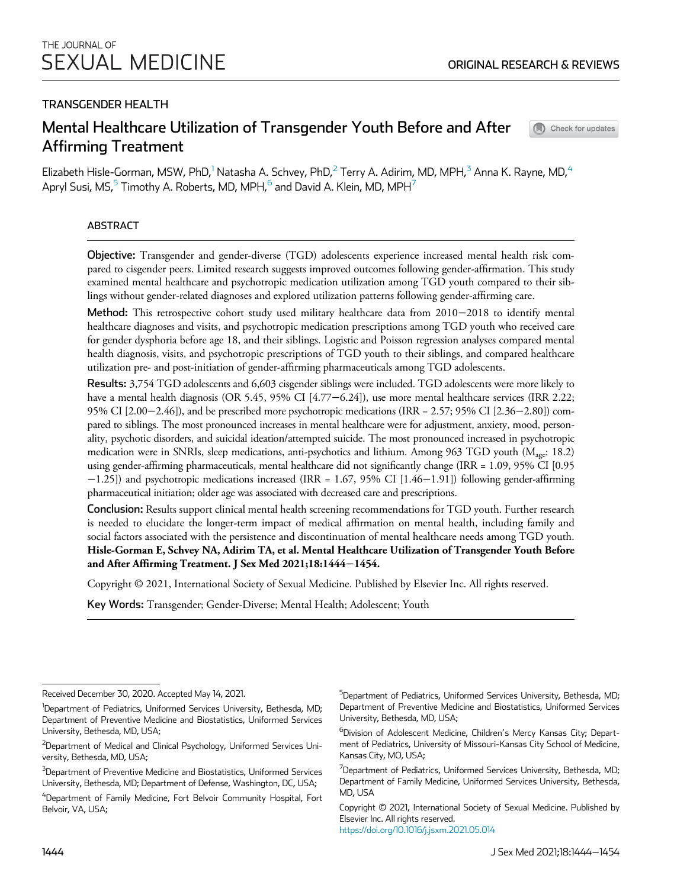Check for updates

# TRANSGENDER HEALTH

# Mental Healthcare Utilization of Transgender Youth Before and After Affirming Treatment

Elizabeth Hisle-Gorman, MSW, PhD, $^1$  Natasha A. Schvey, PhD, $^2$  Terry A. Adirim, MD, MPH, $^3$  Anna K. Rayne, MD, $^4$ Apryl Susi, MS, $^5$  Timothy A. Roberts, MD, MPH, $^6$  and David A. Klein, MD, MPH $^7$ 

## ABSTRACT

Objective: Transgender and gender-diverse (TGD) adolescents experience increased mental health risk compared to cisgender peers. Limited research suggests improved outcomes following gender-affirmation. This study examined mental healthcare and psychotropic medication utilization among TGD youth compared to their siblings without gender-related diagnoses and explored utilization patterns following gender-affirming care.

Method: This retrospective cohort study used military healthcare data from 2010−2018 to identify mental healthcare diagnoses and visits, and psychotropic medication prescriptions among TGD youth who received care for gender dysphoria before age 18, and their siblings. Logistic and Poisson regression analyses compared mental health diagnosis, visits, and psychotropic prescriptions of TGD youth to their siblings, and compared healthcare utilization pre- and post-initiation of gender-affirming pharmaceuticals among TGD adolescents.

Results: 3,754 TGD adolescents and 6,603 cisgender siblings were included. TGD adolescents were more likely to have a mental health diagnosis (OR 5.45, 95% CI [4.77−6.24]), use more mental healthcare services (IRR 2.22; 95% CI [2.00−2.46]), and be prescribed more psychotropic medications (IRR = 2.57; 95% CI [2.36−2.80]) compared to siblings. The most pronounced increases in mental healthcare were for adjustment, anxiety, mood, personality, psychotic disorders, and suicidal ideation/attempted suicide. The most pronounced increased in psychotropic medication were in SNRIs, sleep medications, anti-psychotics and lithium. Among 963 TGD youth (M<sub>age</sub>: 18.2) using gender-affirming pharmaceuticals, mental healthcare did not significantly change (IRR = 1.09, 95% CI [0.95 −1.25]) and psychotropic medications increased (IRR = 1.67, 95% CI [1.46−1.91]) following gender-affirming pharmaceutical initiation; older age was associated with decreased care and prescriptions.

Conclusion: Results support clinical mental health screening recommendations for TGD youth. Further research is needed to elucidate the longer-term impact of medical affirmation on mental health, including family and social factors associated with the persistence and discontinuation of mental healthcare needs among TGD youth. Hisle-Gorman E, Schvey NA, Adirim TA, et al. Mental Healthcare Utilization of Transgender Youth Before and After Affirming Treatment. J Sex Med 2021;18:1444−1454.

Copyright © 2021, International Society of Sexual Medicine. Published by Elsevier Inc. All rights reserved.

Key Words: Transgender; Gender-Diverse; Mental Health; Adolescent; Youth

<sup>5</sup>Department of Pediatrics, Uniformed Services University, Bethesda, MD; Department of Preventive Medicine and Biostatistics, Uniformed Services University, Bethesda, MD, USA;

<sup>6</sup>Division of Adolescent Medicine, Children's Mercy Kansas City; Department of Pediatrics, University of Missouri-Kansas City School of Medicine, Kansas City, MO, USA;

 $7$ Department of Pediatrics, Uniformed Services University, Bethesda, MD; Department of Family Medicine, Uniformed Services University, Bethesda, MD, USA

Copyright © 2021, International Society of Sexual Medicine. Published by Elsevier Inc. All rights reserved. https://doi.org/10.1016/j.jsxm.2021.05.014

Received December 30, 2020. Accepted May 14, 2021.

<sup>&</sup>lt;sup>1</sup>Department of Pediatrics, Uniformed Services University, Bethesda, MD; Department of Preventive Medicine and Biostatistics, Uniformed Services University, Bethesda, MD, USA;

 $^{2}$ Department of Medical and Clinical Psychology, Uniformed Services University, Bethesda, MD, USA;

<sup>&</sup>lt;sup>5</sup>Department of Preventive Medicine and Biostatistics, Uniformed Services University, Bethesda, MD; Department of Defense, Washington, DC, USA;

 ${}^{4}$ Department of Family Medicine, Fort Belvoir Community Hospital, Fort Belvoir, VA, USA;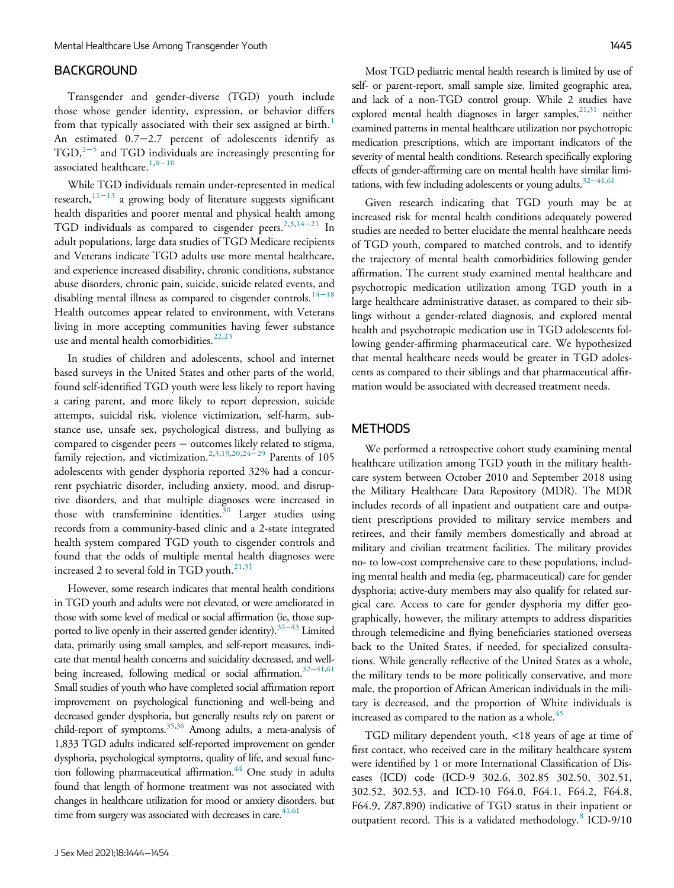### BACKGROUND

Transgender and gender-diverse (TGD) youth include those whose gender identity, expression, or behavior differs from that typically associated with their sex assigned at birth.<sup>1</sup> An estimated 0.7−2.7 percent of adolescents identify as TGD,<sup>2-5</sup> and TGD individuals are increasingly presenting for associated healthcare.<sup>1,6−10</sup>

While TGD individuals remain under-represented in medical research,<sup>11−13</sup> a growing body of literature suggests significant health disparities and poorer mental and physical health among TGD individuals as compared to cisgender peers.<sup>2,3,14−21</sup> In adult populations, large data studies of TGD Medicare recipients and Veterans indicate TGD adults use more mental healthcare, and experience increased disability, chronic conditions, substance abuse disorders, chronic pain, suicide, suicide related events, and disabling mental illness as compared to cisgender controls.<sup>14−18</sup> Health outcomes appear related to environment, with Veterans living in more accepting communities having fewer substance use and mental health comorbidities.<sup>22,23</sup>

In studies of children and adolescents, school and internet based surveys in the United States and other parts of the world, found self-identified TGD youth were less likely to report having a caring parent, and more likely to report depression, suicide attempts, suicidal risk, violence victimization, self-harm, substance use, unsafe sex, psychological distress, and bullying as compared to cisgender peers - outcomes likely related to stigma, family rejection, and victimization.2,3,19,20,24−<sup>29</sup> Parents of 105 adolescents with gender dysphoria reported 32% had a concurrent psychiatric disorder, including anxiety, mood, and disruptive disorders, and that multiple diagnoses were increased in those with transfeminine identities.<sup>30</sup> Larger studies using records from a community-based clinic and a 2-state integrated health system compared TGD youth to cisgender controls and found that the odds of multiple mental health diagnoses were increased 2 to several fold in TGD youth.<sup>21,31</sup>

However, some research indicates that mental health conditions in TGD youth and adults were not elevated, or were ameliorated in those with some level of medical or social affirmation (ie, those supported to live openly in their asserted gender identity).<sup>32–43</sup> Limited data, primarily using small samples, and self-report measures, indicate that mental health concerns and suicidality decreased, and wellbeing increased, following medical or social affirmation.<sup>32-41,61</sup> Small studies of youth who have completed social affirmation report improvement on psychological functioning and well-being and decreased gender dysphoria, but generally results rely on parent or child-report of symptoms.<sup>35,36</sup> Among adults, a meta-analysis of 1,833 TGD adults indicated self-reported improvement on gender dysphoria, psychological symptoms, quality of life, and sexual function following pharmaceutical affirmation. $44$  One study in adults found that length of hormone treatment was not associated with changes in healthcare utilization for mood or anxiety disorders, but time from surgery was associated with decreases in care. $41,61$ 

Most TGD pediatric mental health research is limited by use of self- or parent-report, small sample size, limited geographic area, and lack of a non-TGD control group. While 2 studies have explored mental health diagnoses in larger samples,  $21,31$  neither examined patterns in mental healthcare utilization nor psychotropic medication prescriptions, which are important indicators of the severity of mental health conditions. Research specifically exploring effects of gender-affirming care on mental health have similar limitations, with few including adolescents or young adults.32−41,61

Given research indicating that TGD youth may be at increased risk for mental health conditions adequately powered studies are needed to better elucidate the mental healthcare needs of TGD youth, compared to matched controls, and to identify the trajectory of mental health comorbidities following gender affirmation. The current study examined mental healthcare and psychotropic medication utilization among TGD youth in a large healthcare administrative dataset, as compared to their siblings without a gender-related diagnosis, and explored mental health and psychotropic medication use in TGD adolescents following gender-affirming pharmaceutical care. We hypothesized that mental healthcare needs would be greater in TGD adolescents as compared to their siblings and that pharmaceutical affirmation would be associated with decreased treatment needs.

#### **METHODS**

We performed a retrospective cohort study examining mental healthcare utilization among TGD youth in the military healthcare system between October 2010 and September 2018 using the Military Healthcare Data Repository (MDR). The MDR includes records of all inpatient and outpatient care and outpatient prescriptions provided to military service members and retirees, and their family members domestically and abroad at military and civilian treatment facilities. The military provides no- to low-cost comprehensive care to these populations, including mental health and media (eg, pharmaceutical) care for gender dysphoria; active-duty members may also qualify for related surgical care. Access to care for gender dysphoria my differ geographically, however, the military attempts to address disparities through telemedicine and flying beneficiaries stationed overseas back to the United States, if needed, for specialized consultations. While generally reflective of the United States as a whole, the military tends to be more politically conservative, and more male, the proportion of African American individuals in the military is decreased, and the proportion of White individuals is increased as compared to the nation as a whole.<sup>45</sup>

TGD military dependent youth, <18 years of age at time of first contact, who received care in the military healthcare system were identified by 1 or more International Classification of Diseases (ICD) code (ICD-9 302.6, 302.85 302.50, 302.51, 302.52, 302.53, and ICD-10 F64.0, F64.1, F64.2, F64.8, F64.9, Z87.890) indicative of TGD status in their inpatient or outpatient record. This is a validated methodology.<sup>8</sup> ICD-9/10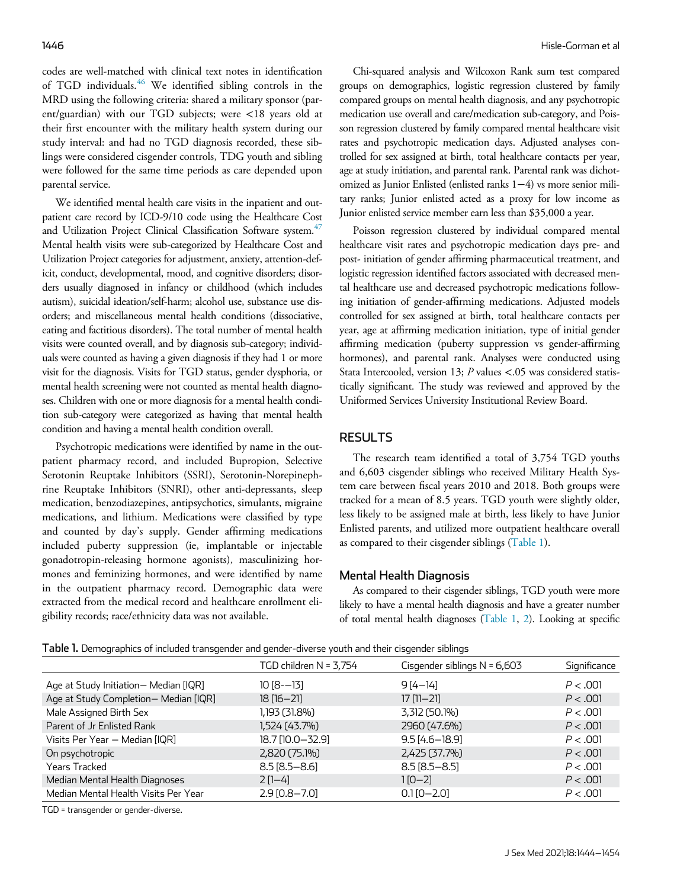codes are well-matched with clinical text notes in identification of TGD individuals.<sup>46</sup> We identified sibling controls in the MRD using the following criteria: shared a military sponsor (parent/guardian) with our TGD subjects; were <18 years old at their first encounter with the military health system during our study interval: and had no TGD diagnosis recorded, these siblings were considered cisgender controls, TDG youth and sibling were followed for the same time periods as care depended upon parental service.

We identified mental health care visits in the inpatient and outpatient care record by ICD-9/10 code using the Healthcare Cost and Utilization Project Clinical Classification Software system.<sup>47</sup> Mental health visits were sub-categorized by Healthcare Cost and Utilization Project categories for adjustment, anxiety, attention-deficit, conduct, developmental, mood, and cognitive disorders; disorders usually diagnosed in infancy or childhood (which includes autism), suicidal ideation/self-harm; alcohol use, substance use disorders; and miscellaneous mental health conditions (dissociative, eating and factitious disorders). The total number of mental health visits were counted overall, and by diagnosis sub-category; individuals were counted as having a given diagnosis if they had 1 or more visit for the diagnosis. Visits for TGD status, gender dysphoria, or mental health screening were not counted as mental health diagnoses. Children with one or more diagnosis for a mental health condition sub-category were categorized as having that mental health condition and having a mental health condition overall.

Psychotropic medications were identified by name in the outpatient pharmacy record, and included Bupropion, Selective Serotonin Reuptake Inhibitors (SSRI), Serotonin-Norepinephrine Reuptake Inhibitors (SNRI), other anti-depressants, sleep medication, benzodiazepines, antipsychotics, simulants, migraine medications, and lithium. Medications were classified by type and counted by day's supply. Gender affirming medications included puberty suppression (ie, implantable or injectable gonadotropin-releasing hormone agonists), masculinizing hormones and feminizing hormones, and were identified by name in the outpatient pharmacy record. Demographic data were extracted from the medical record and healthcare enrollment eligibility records; race/ethnicity data was not available.

Chi-squared analysis and Wilcoxon Rank sum test compared groups on demographics, logistic regression clustered by family compared groups on mental health diagnosis, and any psychotropic medication use overall and care/medication sub-category, and Poisson regression clustered by family compared mental healthcare visit rates and psychotropic medication days. Adjusted analyses controlled for sex assigned at birth, total healthcare contacts per year, age at study initiation, and parental rank. Parental rank was dichotomized as Junior Enlisted (enlisted ranks 1−4) vs more senior military ranks; Junior enlisted acted as a proxy for low income as Junior enlisted service member earn less than \$35,000 a year.

Poisson regression clustered by individual compared mental healthcare visit rates and psychotropic medication days pre- and post- initiation of gender affirming pharmaceutical treatment, and logistic regression identified factors associated with decreased mental healthcare use and decreased psychotropic medications following initiation of gender-affirming medications. Adjusted models controlled for sex assigned at birth, total healthcare contacts per year, age at affirming medication initiation, type of initial gender affirming medication (puberty suppression vs gender-affirming hormones), and parental rank. Analyses were conducted using Stata Intercooled, version 13; P values <.05 was considered statistically significant. The study was reviewed and approved by the Uniformed Services University Institutional Review Board.

### **RESULTS**

The research team identified a total of 3,754 TGD youths and 6,603 cisgender siblings who received Military Health System care between fiscal years 2010 and 2018. Both groups were tracked for a mean of 8.5 years. TGD youth were slightly older, less likely to be assigned male at birth, less likely to have Junior Enlisted parents, and utilized more outpatient healthcare overall as compared to their cisgender siblings (Table 1).

#### Mental Health Diagnosis

As compared to their cisgender siblings, TGD youth were more likely to have a mental health diagnosis and have a greater number of total mental health diagnoses (Table 1, 2). Looking at specific

|  |  | Table 1. Demographics of included transgender and gender-diverse youth and their cisgender siblings |  |  |  |  |
|--|--|-----------------------------------------------------------------------------------------------------|--|--|--|--|
|--|--|-----------------------------------------------------------------------------------------------------|--|--|--|--|

|                                      | TGD children N = 3,754 | Cisgender siblings $N = 6,603$ | Significance |
|--------------------------------------|------------------------|--------------------------------|--------------|
| Age at Study Initiation-Median [IQR] | $10 [8 - 13]$          | $9[4 - 14]$                    | P < .001     |
| Age at Study Completion-Median [IQR] | $18$ $[16 - 21]$       | $17$ [11-21]                   | P < .001     |
| Male Assigned Birth Sex              | 1,193 (31.8%)          | 3,312 (50.1%)                  | P < .001     |
| Parent of Jr Enlisted Rank           | 1,524 (43.7%)          | 2960 (47.6%)                   | P < .001     |
| Visits Per Year - Median [IQR]       | 18.7 [10.0-32.9]       | $9.5[4.6 - 18.9]$              | P < .001     |
| On psychotropic                      | 2,820 (75.1%)          | 2,425 (37.7%)                  | P < .001     |
| Years Tracked                        | $8.5$ [ $8.5 - 8.6$ ]  | $8.5[8.5 - 8.5]$               | P < .001     |
| Median Mental Health Diagnoses       | $2$ [1–4]              | $1[0-2]$                       | P < .001     |
| Median Mental Health Visits Per Year | 2.9 [0.8-7.0]          | $0.1$ $[0 - 2.0]$              | P < .001     |

TGD = transgender or gender-diverse.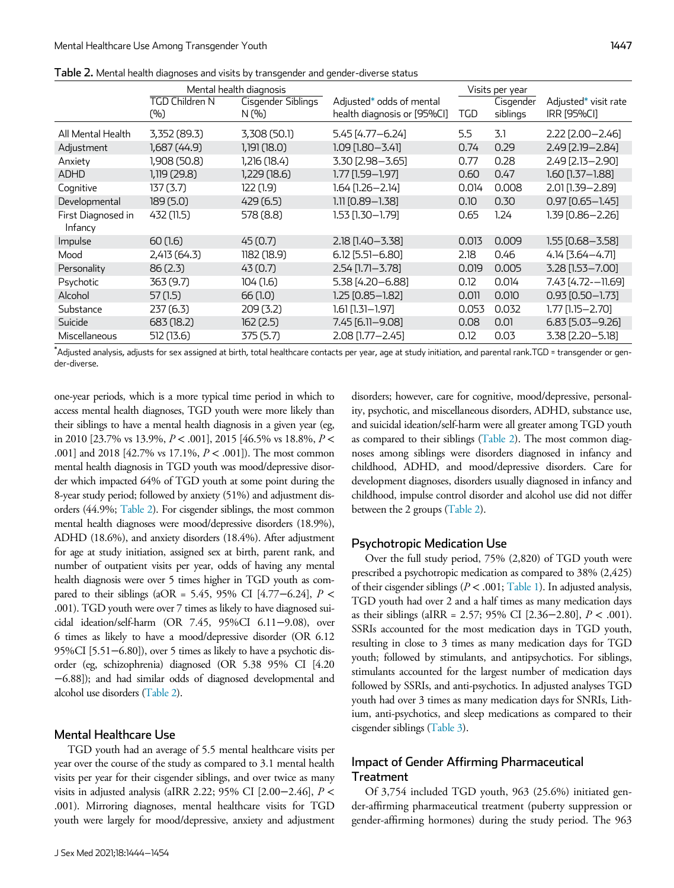|                               | Mental health diagnosis |                             | Visits per year                                         |       |                       |                                            |
|-------------------------------|-------------------------|-----------------------------|---------------------------------------------------------|-------|-----------------------|--------------------------------------------|
|                               | TGD Children N<br>(%)   | Cisgender Siblings<br>N (%) | Adjusted* odds of mental<br>health diagnosis or [95%Cl] | TGD   | Cisgender<br>siblings | Adjusted* visit rate<br><b>IRR [95%CI]</b> |
| All Mental Health             | 3,352 (89.3)            | 3,308 (50.1)                | 5.45 [4.77 - 6.24]                                      | 5.5   | 3.1                   | $2.22$ [2.00 - 2.46]                       |
| Adjustment                    | 1,687 (44.9)            | 1,191(18.0)                 | 1.09 [1.80-3.41]                                        | 0.74  | 0.29                  | 2.49 [2.19 - 2.84]                         |
| Anxiety                       | 1,908 (50.8)            | 1,216 (18.4)                | 3.30 [2.98-3.65]                                        | 0.77  | 0.28                  | 2.49 [2.13-2.90]                           |
| <b>ADHD</b>                   | 1,119 (29.8)            | 1,229 (18.6)                | 1.77 [1.59–1.97]                                        | 0.60  | 0.47                  | $1.60$ [1.37-1.88]                         |
| Cognitive                     | 137(3.7)                | 122(1.9)                    | 1.64 [1.26–2.14]                                        | 0.014 | 0.008                 | 2.01 [1.39 - 2.89]                         |
| Developmental                 | 189(5.0)                | 429(6.5)                    | 1.11 [0.89–1.38]                                        | 0.10  | 0.30                  | $0.97$ [0.65 - 1.45]                       |
| First Diagnosed in<br>Infancy | 432 (11.5)              | 578 (8.8)                   | 1.53 [1.30–1.79]                                        | 0.65  | 1.24                  | 1.39 [0.86-2.26]                           |
| Impulse                       | 60(1.6)                 | 45(0.7)                     | 2.18 [1.40 - 3.38]                                      | 0.013 | 0.009                 | $1.55$ [0.68-3.58]                         |
| Mood                          | 2,413 (64.3)            | 1182(18.9)                  | 6.12 [5.51-6.80]                                        | 2.18  | 0.46                  | 4.14 [3.64-4.71]                           |
| Personality                   | 86(2.3)                 | 43(0.7)                     | 2.54 [1.71-3.78]                                        | 0.019 | 0.005                 | 3.28 [1.53-7.00]                           |
| Psychotic                     | 363 (9.7)               | 104(1.6)                    | 5.38 [4.20-6.88]                                        | 0.12  | 0.014                 | 7.43 [4.72--11.69]                         |
| Alcohol                       | 57(1.5)                 | 66(1.0)                     | 1.25 [0.85–1.82]                                        | 0.011 | 0.010                 | $0.93$ $[0.50 - 1.73]$                     |
| Substance                     | 237(6.3)                | 209(3.2)                    | 1.61 [1.31–1.97]                                        | 0.053 | 0.032                 | 1.77 [1.15–2.70]                           |
| Suicide                       | 683 (18.2)              | 162(2.5)                    | 7.45 [6.11-9.08]                                        | 0.08  | 0.01                  | $6.83$ [5.03-9.26]                         |
| Miscellaneous                 | 512 (13.6)              | 375 (5.7)                   | 2.08 [1.77-2.45]                                        | 0.12  | 0.03                  | 3.38 [2.20-5.18]                           |

Table 2. Mental health diagnoses and visits by transgender and gender-diverse status

\*Adjusted analysis, adjusts for sex assigned at birth, total healthcare contacts per year, age at study initiation, and parental rank.TGD = transgender or gender-diverse.

one-year periods, which is a more typical time period in which to access mental health diagnoses, TGD youth were more likely than their siblings to have a mental health diagnosis in a given year (eg, in 2010 [23.7% vs 13.9%,  $P < .001$ ], 2015 [46.5% vs 18.8%,  $P <$ .001] and 2018 [42.7% vs 17.1%, P < .001]). The most common mental health diagnosis in TGD youth was mood/depressive disorder which impacted 64% of TGD youth at some point during the 8-year study period; followed by anxiety (51%) and adjustment disorders (44.9%; Table 2). For cisgender siblings, the most common mental health diagnoses were mood/depressive disorders (18.9%), ADHD (18.6%), and anxiety disorders (18.4%). After adjustment for age at study initiation, assigned sex at birth, parent rank, and number of outpatient visits per year, odds of having any mental health diagnosis were over 5 times higher in TGD youth as compared to their siblings (aOR = 5.45, 95% CI [4.77–6.24],  $P \leq$ .001). TGD youth were over 7 times as likely to have diagnosed suicidal ideation/self-harm (OR 7.45, 95%CI 6.11−9.08), over 6 times as likely to have a mood/depressive disorder (OR 6.12 95%CI [5.51−6.80]), over 5 times as likely to have a psychotic disorder (eg, schizophrenia) diagnosed (OR 5.38 95% CI [4.20 −6.88]); and had similar odds of diagnosed developmental and alcohol use disorders (Table 2).

### Mental Healthcare Use

TGD youth had an average of 5.5 mental healthcare visits per year over the course of the study as compared to 3.1 mental health visits per year for their cisgender siblings, and over twice as many visits in adjusted analysis (aIRR 2.22; 95% CI [2.00−2.46], P < .001). Mirroring diagnoses, mental healthcare visits for TGD youth were largely for mood/depressive, anxiety and adjustment disorders; however, care for cognitive, mood/depressive, personality, psychotic, and miscellaneous disorders, ADHD, substance use, and suicidal ideation/self-harm were all greater among TGD youth as compared to their siblings (Table 2). The most common diagnoses among siblings were disorders diagnosed in infancy and childhood, ADHD, and mood/depressive disorders. Care for development diagnoses, disorders usually diagnosed in infancy and childhood, impulse control disorder and alcohol use did not differ between the 2 groups (Table 2).

#### Psychotropic Medication Use

Over the full study period, 75% (2,820) of TGD youth were prescribed a psychotropic medication as compared to 38% (2,425) of their cisgender siblings ( $P < .001$ ; Table 1). In adjusted analysis, TGD youth had over 2 and a half times as many medication days as their siblings (aIRR = 2.57; 95% CI [2.36−2.80], P < .001). SSRIs accounted for the most medication days in TGD youth, resulting in close to 3 times as many medication days for TGD youth; followed by stimulants, and antipsychotics. For siblings, stimulants accounted for the largest number of medication days followed by SSRIs, and anti-psychotics. In adjusted analyses TGD youth had over 3 times as many medication days for SNRIs, Lithium, anti-psychotics, and sleep medications as compared to their cisgender siblings (Table 3).

# Impact of Gender Affirming Pharmaceutical **Treatment**

Of 3,754 included TGD youth, 963 (25.6%) initiated gender-affirming pharmaceutical treatment (puberty suppression or gender-affirming hormones) during the study period. The 963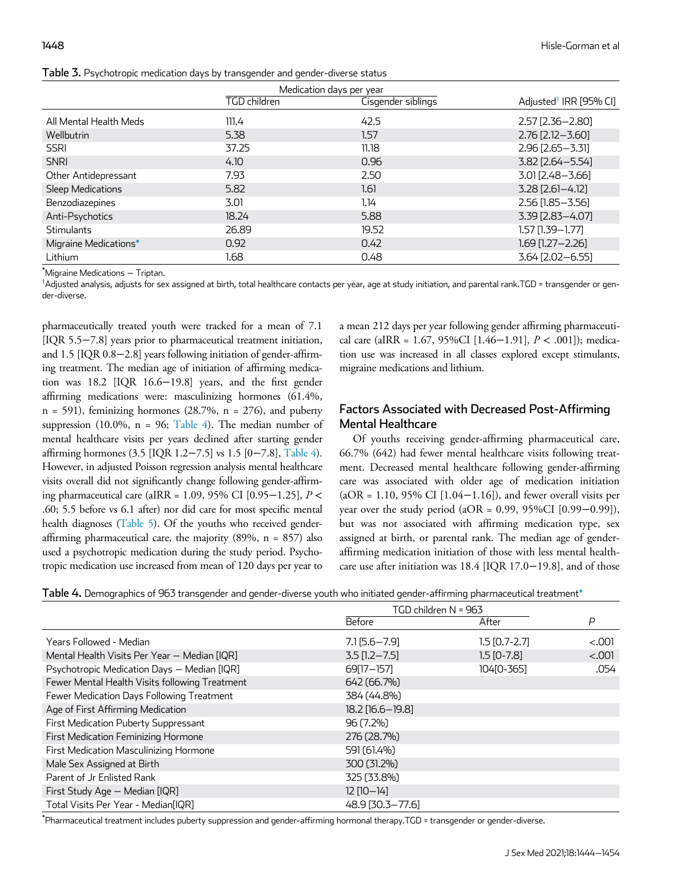| Table 3. Psychotropic medication days by transgender and gender-diverse status |                              |
|--------------------------------------------------------------------------------|------------------------------|
|                                                                                | <b>March 2008 March 2008</b> |

|                        | Medication days per year |                    |                                    |
|------------------------|--------------------------|--------------------|------------------------------------|
|                        | TGD children             | Cisgender siblings | Adjusted <sup>†</sup> IRR [95% CI] |
| All Mental Health Meds | 111.4                    | 42.5               | $2.57$ [ $2.36 - 2.80$ ]           |
| Wellbutrin             | 5.38                     | 1.57               | $2.76$ [ $2.12 - 3.60$ ]           |
| <b>SSRI</b>            | 37.25                    | 11.18              | $2.96$ [ $2.65 - 3.31$ ]           |
| <b>SNRI</b>            | 4.10                     | 0.96               | 3.82 [2.64 - 5.54]                 |
| Other Antidepressant   | 7.93                     | 2.50               | 3.01 [2.48-3.66]                   |
| Sleep Medications      | 5.82                     | 1.61               | $3.28$ [2.61-4.12]                 |
| Benzodiazepines        | 3.01                     | 1.14               | 2.56 [1.85 - 3.56]                 |
| Anti-Psychotics        | 18.24                    | 5.88               | 3.39 [2.83-4.07]                   |
| <b>Stimulants</b>      | 26.89                    | 19.52              | $1.57$ [1.39-1.77]                 |
| Migraine Medications*  | 0.92                     | 0.42               | $1.69$ [1.27 - 2.26]               |
| Lithium                | 1.68                     | 0.48               | 3.64 [2.02-6.55]                   |

\*Migraine Medications − Triptan.

 $^\dagger$ Adjusted analysis, adjusts for sex assigned at birth, total healthcare contacts per year, age at study initiation, and parental rank.TGD = transgender or gender-diverse.

pharmaceutically treated youth were tracked for a mean of 7.1 [IQR 5.5−7.8] years prior to pharmaceutical treatment initiation, and 1.5 [IQR 0.8−2.8] years following initiation of gender-affirming treatment. The median age of initiation of affirming medication was 18.2 [IQR 16.6−19.8] years, and the first gender affirming medications were: masculinizing hormones (61.4%,  $n = 591$ , feminizing hormones (28.7%,  $n = 276$ ), and puberty suppression (10.0%,  $n = 96$ ; Table 4). The median number of mental healthcare visits per years declined after starting gender affirming hormones (3.5 [IQR 1.2−7.5] vs 1.5 [0−7.8], Table 4). However, in adjusted Poisson regression analysis mental healthcare visits overall did not significantly change following gender-affirming pharmaceutical care (aIRR = 1.09, 95% CI [0.95−1.25], P < .60; 5.5 before vs 6.1 after) nor did care for most specific mental health diagnoses (Table 5). Of the youths who received genderaffirming pharmaceutical care, the majority  $(89\%, n = 857)$  also used a psychotropic medication during the study period. Psychotropic medication use increased from mean of 120 days per year to a mean 212 days per year following gender affirming pharmaceutical care (aIRR = 1.67, 95%CI [1.46−1.91], P < .001]); medication use was increased in all classes explored except stimulants, migraine medications and lithium.

# Factors Associated with Decreased Post-Affirming Mental Healthcare

Of youths receiving gender-affirming pharmaceutical care, 66.7% (642) had fewer mental healthcare visits following treatment. Decreased mental healthcare following gender-affirming care was associated with older age of medication initiation  $(aOR = 1.10, 95\% \text{ CI} [1.04-1.16])$ , and fewer overall visits per year over the study period (aOR = 0.99, 95%CI [0.99−0.99]), but was not associated with affirming medication type, sex assigned at birth, or parental rank. The median age of genderaffirming medication initiation of those with less mental healthcare use after initiation was 18.4 [IQR 17.0−19.8], and of those

Table 4. Demographics of 963 transgender and gender-diverse youth who initiated gender-affirming pharmaceutical treatment\*

|                                                | TGD children N = 963 |                 |        |
|------------------------------------------------|----------------------|-----------------|--------|
|                                                | Before               | After           | P      |
| Years Followed - Median                        | $7.1$ [5.6 - 7.9]    | $1.5$ [0.7-2.7] | < .001 |
| Mental Health Visits Per Year - Median [IQR]   | $3.5$ [1.2 - 7.5]    | $1.5$ [0-7.8]   | < .001 |
| Psychotropic Medication Days - Median [IQR]    | 69[17-157]           | 104[0-365]      | .054   |
| Fewer Mental Health Visits following Treatment | 642 (66.7%)          |                 |        |
| Fewer Medication Days Following Treatment      | 384 (44.8%)          |                 |        |
| Age of First Affirming Medication              | $18.2$ [16.6 - 19.8] |                 |        |
| First Medication Puberty Suppressant           | 96 (7.2%)            |                 |        |
| First Medication Feminizing Hormone            | 276 (28.7%)          |                 |        |
| First Medication Masculinizing Hormone         | 591 (61.4%)          |                 |        |
| Male Sex Assigned at Birth                     | 300 (31.2%)          |                 |        |
| Parent of Jr Enlisted Rank                     | 325 (33.8%)          |                 |        |
| First Study Age - Median [IQR]                 | $12$ $[10-14]$       |                 |        |
| Total Visits Per Year - Median[IQR]            | 48.9 [30.3-77.6]     |                 |        |

\* Pharmaceutical treatment includes puberty suppression and gender-affirming hormonal therapy.TGD = transgender or gender-diverse.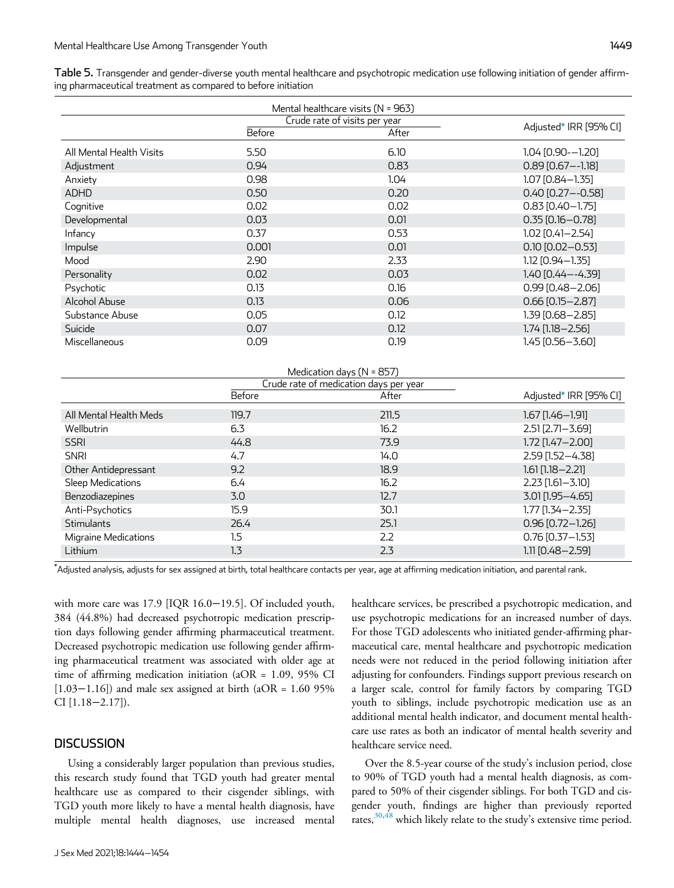| Table 5. Transgender and gender-diverse youth mental healthcare and psychotropic medication use following initiation of gender affirm- |  |
|----------------------------------------------------------------------------------------------------------------------------------------|--|
| ing pharmaceutical treatment as compared to before initiation                                                                          |  |

| Mental healthcare visits (N = 963) |                               |       |                         |  |
|------------------------------------|-------------------------------|-------|-------------------------|--|
|                                    | Crude rate of visits per year |       | Adjusted* IRR [95% CI]  |  |
|                                    | Before                        | After |                         |  |
| All Mental Health Visits           | 5.50                          | 6.10  | $1.04$ [0.90- $-1.20$ ] |  |
| Adjustment                         | 0.94                          | 0.83  | $0.89$ $[0.67 - -1.18]$ |  |
| Anxiety                            | 0.98                          | 1.04  | 1.07 [0.84-1.35]        |  |
| <b>ADHD</b>                        | 0.50                          | 0.20  | $0.40$ [0.27 - - 0.58]  |  |
| Cognitive                          | 0.02                          | 0.02  | $0.83$ [0.40-1.75]      |  |
| Developmental                      | 0.03                          | 0.01  | $0.35$ [0.16-0.78]      |  |
| Infancy                            | 0.37                          | 0.53  | $1.02$ [0.41-2.54]      |  |
| Impulse                            | 0.001                         | 0.01  | $0.10$ [0.02-0.53]      |  |
| Mood                               | 2.90                          | 2.33  | $1.12$ [0.94 - 1.35]    |  |
| Personality                        | 0.02                          | 0.03  | 1.40 [0.44 - - 4.39]    |  |
| Psychotic                          | 0.13                          | 0.16  | 0.99 [0.48-2.06]        |  |
| Alcohol Abuse                      | 0.13                          | 0.06  | $0.66$ [0.15 - 2.87]    |  |
| Substance Abuse                    | 0.05                          | 0.12  | 1.39 [0.68-2.85]        |  |
| Suicide                            | 0.07                          | 0.12  | 1.74 [1.18 - 2.56]      |  |
| Miscellaneous                      | 0.09                          | 0.19  | 1.45 [0.56-3.60]        |  |

| Medication days $(N = 857)$            |        |       |                        |  |
|----------------------------------------|--------|-------|------------------------|--|
| Crude rate of medication days per year |        |       |                        |  |
|                                        | Before | After | Adjusted* IRR [95% CI] |  |
| All Mental Health Meds                 | 119.7  | 211.5 | $1.67$ [1.46 - 1.91]   |  |
| Wellbutrin                             | 6.3    | 16.2  | $2.51$ $[2.71 - 3.69]$ |  |
| <b>SSRI</b>                            | 44.8   | 73.9  | 1.72 [1.47-2.00]       |  |
| <b>SNRI</b>                            | 4.7    | 14.0  | 2.59 [1.52-4.38]       |  |
| Other Antidepressant                   | 9.2    | 18.9  | $1.61$ $[1.18 - 2.21]$ |  |
| Sleep Medications                      | 6.4    | 16.2  | $2.23$ [1.61-3.10]     |  |
| Benzodiazepines                        | 3.0    | 12.7  | 3.01 [1.95 - 4.65]     |  |
| Anti-Psychotics                        | 15.9   | 30.1  | $1.77$ [1.34 - 2.35]   |  |
| <b>Stimulants</b>                      | 26.4   | 25.1  | $0.96$ [0.72-1.26]     |  |
| <b>Migraine Medications</b>            | 1.5    | 2.2   | $0.76$ [0.37-1.53]     |  |
| Lithium                                | 1.3    | 2.3   | $1.11$ [0.48 - 2.59]   |  |

\*Adjusted analysis, adjusts for sex assigned at birth, total healthcare contacts per year, age at affirming medication initiation, and parental rank.

with more care was 17.9 [IQR 16.0−19.5]. Of included youth, 384 (44.8%) had decreased psychotropic medication prescription days following gender affirming pharmaceutical treatment. Decreased psychotropic medication use following gender affirming pharmaceutical treatment was associated with older age at time of affirming medication initiation ( $aOR = 1.09$ , 95% CI [1.03−1.16]) and male sex assigned at birth (aOR = 1.60 95% CI [1.18−2.17]).

# **DISCUSSION**

Using a considerably larger population than previous studies, this research study found that TGD youth had greater mental healthcare use as compared to their cisgender siblings, with TGD youth more likely to have a mental health diagnosis, have multiple mental health diagnoses, use increased mental healthcare services, be prescribed a psychotropic medication, and use psychotropic medications for an increased number of days. For those TGD adolescents who initiated gender-affirming pharmaceutical care, mental healthcare and psychotropic medication needs were not reduced in the period following initiation after adjusting for confounders. Findings support previous research on a larger scale, control for family factors by comparing TGD youth to siblings, include psychotropic medication use as an additional mental health indicator, and document mental healthcare use rates as both an indicator of mental health severity and healthcare service need.

Over the 8.5-year course of the study's inclusion period, close to 90% of TGD youth had a mental health diagnosis, as compared to 50% of their cisgender siblings. For both TGD and cisgender youth, findings are higher than previously reported rates,<sup>30,48</sup> which likely relate to the study's extensive time period.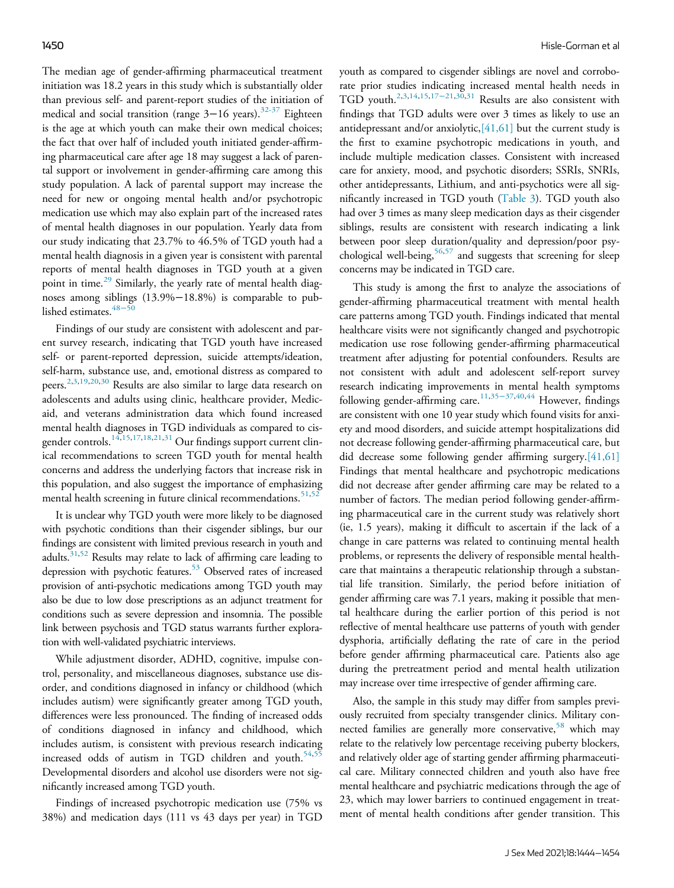The median age of gender-affirming pharmaceutical treatment initiation was 18.2 years in this study which is substantially older than previous self- and parent-report studies of the initiation of medical and social transition (range 3-16 years).<sup>32-37</sup> Eighteen is the age at which youth can make their own medical choices; the fact that over half of included youth initiated gender-affirming pharmaceutical care after age 18 may suggest a lack of parental support or involvement in gender-affirming care among this study population. A lack of parental support may increase the need for new or ongoing mental health and/or psychotropic medication use which may also explain part of the increased rates of mental health diagnoses in our population. Yearly data from our study indicating that 23.7% to 46.5% of TGD youth had a mental health diagnosis in a given year is consistent with parental reports of mental health diagnoses in TGD youth at a given point in time.<sup>29</sup> Similarly, the yearly rate of mental health diagnoses among siblings (13.9%−18.8%) is comparable to published estimates. $48-50$ 

Findings of our study are consistent with adolescent and parent survey research, indicating that TGD youth have increased self- or parent-reported depression, suicide attempts/ideation, self-harm, substance use, and, emotional distress as compared to peers.<sup>2,3,19,20,30</sup> Results are also similar to large data research on adolescents and adults using clinic, healthcare provider, Medicaid, and veterans administration data which found increased mental health diagnoses in TGD individuals as compared to cisgender controls.<sup>14,15,17,18,21,31</sup> Our findings support current clinical recommendations to screen TGD youth for mental health concerns and address the underlying factors that increase risk in this population, and also suggest the importance of emphasizing mental health screening in future clinical recommendations.<sup>51,52</sup>

It is unclear why TGD youth were more likely to be diagnosed with psychotic conditions than their cisgender siblings, bur our findings are consistent with limited previous research in youth and adults. $31,52$  Results may relate to lack of affirming care leading to depression with psychotic features.<sup>53</sup> Observed rates of increased provision of anti-psychotic medications among TGD youth may also be due to low dose prescriptions as an adjunct treatment for conditions such as severe depression and insomnia. The possible link between psychosis and TGD status warrants further exploration with well-validated psychiatric interviews.

While adjustment disorder, ADHD, cognitive, impulse control, personality, and miscellaneous diagnoses, substance use disorder, and conditions diagnosed in infancy or childhood (which includes autism) were significantly greater among TGD youth, differences were less pronounced. The finding of increased odds of conditions diagnosed in infancy and childhood, which includes autism, is consistent with previous research indicating increased odds of autism in TGD children and youth. $54,55$ Developmental disorders and alcohol use disorders were not significantly increased among TGD youth.

Findings of increased psychotropic medication use (75% vs 38%) and medication days (111 vs 43 days per year) in TGD

youth as compared to cisgender siblings are novel and corroborate prior studies indicating increased mental health needs in TGD youth.2,3,14,15,17−21,30,31 Results are also consistent with findings that TGD adults were over 3 times as likely to use an antidepressant and/or anxiolytic,[41,61] but the current study is the first to examine psychotropic medications in youth, and include multiple medication classes. Consistent with increased care for anxiety, mood, and psychotic disorders; SSRIs, SNRIs, other antidepressants, Lithium, and anti-psychotics were all significantly increased in TGD youth (Table 3). TGD youth also had over 3 times as many sleep medication days as their cisgender siblings, results are consistent with research indicating a link between poor sleep duration/quality and depression/poor psychological well-being,  $56,57$  and suggests that screening for sleep concerns may be indicated in TGD care.

This study is among the first to analyze the associations of gender-affirming pharmaceutical treatment with mental health care patterns among TGD youth. Findings indicated that mental healthcare visits were not significantly changed and psychotropic medication use rose following gender-affirming pharmaceutical treatment after adjusting for potential confounders. Results are not consistent with adult and adolescent self-report survey research indicating improvements in mental health symptoms following gender-affirming care.11,35−37,40,44 However, findings are consistent with one 10 year study which found visits for anxiety and mood disorders, and suicide attempt hospitalizations did not decrease following gender-affirming pharmaceutical care, but did decrease some following gender affirming surgery.[41,61] Findings that mental healthcare and psychotropic medications did not decrease after gender affirming care may be related to a number of factors. The median period following gender-affirming pharmaceutical care in the current study was relatively short (ie, 1.5 years), making it difficult to ascertain if the lack of a change in care patterns was related to continuing mental health problems, or represents the delivery of responsible mental healthcare that maintains a therapeutic relationship through a substantial life transition. Similarly, the period before initiation of gender affirming care was 7.1 years, making it possible that mental healthcare during the earlier portion of this period is not reflective of mental healthcare use patterns of youth with gender dysphoria, artificially deflating the rate of care in the period before gender affirming pharmaceutical care. Patients also age during the pretreatment period and mental health utilization may increase over time irrespective of gender affirming care.

Also, the sample in this study may differ from samples previously recruited from specialty transgender clinics. Military connected families are generally more conservative,  $58$  which may relate to the relatively low percentage receiving puberty blockers, and relatively older age of starting gender affirming pharmaceutical care. Military connected children and youth also have free mental healthcare and psychiatric medications through the age of 23, which may lower barriers to continued engagement in treatment of mental health conditions after gender transition. This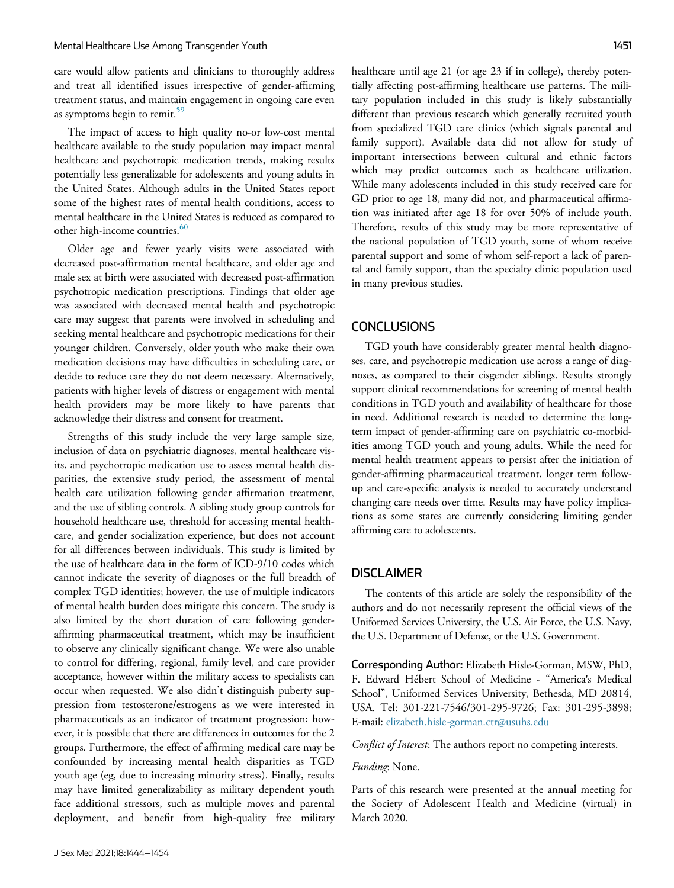care would allow patients and clinicians to thoroughly address and treat all identified issues irrespective of gender-affirming treatment status, and maintain engagement in ongoing care even as symptoms begin to remit. $59$ 

The impact of access to high quality no-or low-cost mental healthcare available to the study population may impact mental healthcare and psychotropic medication trends, making results potentially less generalizable for adolescents and young adults in the United States. Although adults in the United States report some of the highest rates of mental health conditions, access to mental healthcare in the United States is reduced as compared to other high-income countries.<sup>60</sup>

Older age and fewer yearly visits were associated with decreased post-affirmation mental healthcare, and older age and male sex at birth were associated with decreased post-affirmation psychotropic medication prescriptions. Findings that older age was associated with decreased mental health and psychotropic care may suggest that parents were involved in scheduling and seeking mental healthcare and psychotropic medications for their younger children. Conversely, older youth who make their own medication decisions may have difficulties in scheduling care, or decide to reduce care they do not deem necessary. Alternatively, patients with higher levels of distress or engagement with mental health providers may be more likely to have parents that acknowledge their distress and consent for treatment.

Strengths of this study include the very large sample size, inclusion of data on psychiatric diagnoses, mental healthcare visits, and psychotropic medication use to assess mental health disparities, the extensive study period, the assessment of mental health care utilization following gender affirmation treatment, and the use of sibling controls. A sibling study group controls for household healthcare use, threshold for accessing mental healthcare, and gender socialization experience, but does not account for all differences between individuals. This study is limited by the use of healthcare data in the form of ICD-9/10 codes which cannot indicate the severity of diagnoses or the full breadth of complex TGD identities; however, the use of multiple indicators of mental health burden does mitigate this concern. The study is also limited by the short duration of care following genderaffirming pharmaceutical treatment, which may be insufficient to observe any clinically significant change. We were also unable to control for differing, regional, family level, and care provider acceptance, however within the military access to specialists can occur when requested. We also didn't distinguish puberty suppression from testosterone/estrogens as we were interested in pharmaceuticals as an indicator of treatment progression; however, it is possible that there are differences in outcomes for the 2 groups. Furthermore, the effect of affirming medical care may be confounded by increasing mental health disparities as TGD youth age (eg, due to increasing minority stress). Finally, results may have limited generalizability as military dependent youth face additional stressors, such as multiple moves and parental deployment, and benefit from high-quality free military

healthcare until age 21 (or age 23 if in college), thereby potentially affecting post-affirming healthcare use patterns. The military population included in this study is likely substantially different than previous research which generally recruited youth from specialized TGD care clinics (which signals parental and family support). Available data did not allow for study of important intersections between cultural and ethnic factors which may predict outcomes such as healthcare utilization. While many adolescents included in this study received care for GD prior to age 18, many did not, and pharmaceutical affirmation was initiated after age 18 for over 50% of include youth. Therefore, results of this study may be more representative of the national population of TGD youth, some of whom receive parental support and some of whom self-report a lack of parental and family support, than the specialty clinic population used in many previous studies.

### **CONCLUSIONS**

TGD youth have considerably greater mental health diagnoses, care, and psychotropic medication use across a range of diagnoses, as compared to their cisgender siblings. Results strongly support clinical recommendations for screening of mental health conditions in TGD youth and availability of healthcare for those in need. Additional research is needed to determine the longterm impact of gender-affirming care on psychiatric co-morbidities among TGD youth and young adults. While the need for mental health treatment appears to persist after the initiation of gender-affirming pharmaceutical treatment, longer term followup and care-specific analysis is needed to accurately understand changing care needs over time. Results may have policy implications as some states are currently considering limiting gender affirming care to adolescents.

#### DISCLAIMER

The contents of this article are solely the responsibility of the authors and do not necessarily represent the official views of the Uniformed Services University, the U.S. Air Force, the U.S. Navy, the U.S. Department of Defense, or the U.S. Government.

Corresponding Author: Elizabeth Hisle-Gorman, MSW, PhD, F. Edward Hebert School of Medicine - "America's Medical School", Uniformed Services University, Bethesda, MD 20814, USA. Tel: 301-221-7546/301-295-9726; Fax: 301-295-3898; E-mail: elizabeth.hisle-gorman.ctr@usuhs.edu

Conflict of Interest: The authors report no competing interests.

#### Funding: None.

Parts of this research were presented at the annual meeting for the Society of Adolescent Health and Medicine (virtual) in March 2020.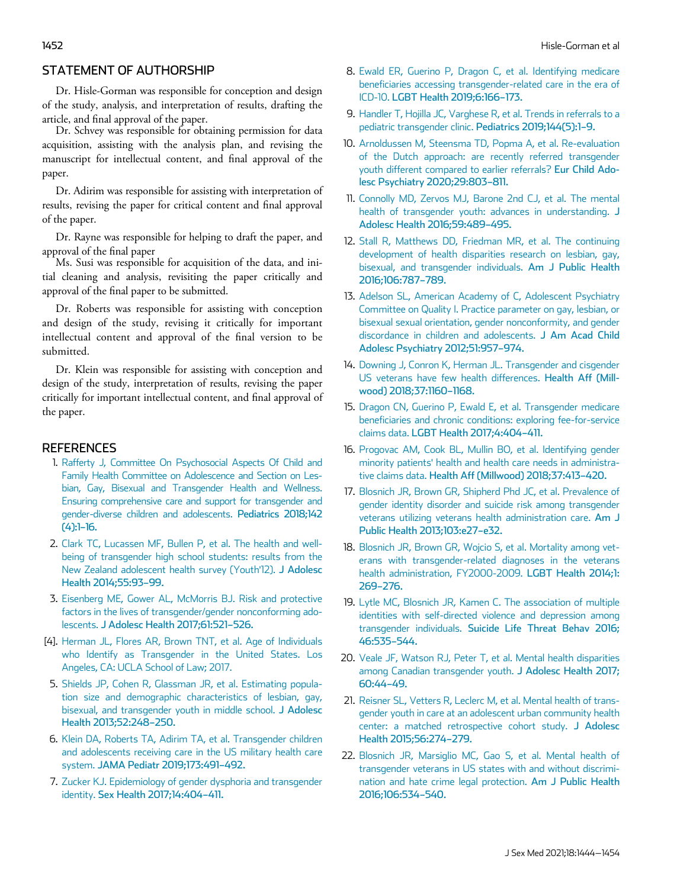# STATEMENT OF AUTHORSHIP

Dr. Hisle-Gorman was responsible for conception and design of the study, analysis, and interpretation of results, drafting the article, and final approval of the paper.

Dr. Schvey was responsible for obtaining permission for data acquisition, assisting with the analysis plan, and revising the manuscript for intellectual content, and final approval of the paper.

Dr. Adirim was responsible for assisting with interpretation of results, revising the paper for critical content and final approval of the paper.

Dr. Rayne was responsible for helping to draft the paper, and approval of the final paper

Ms. Susi was responsible for acquisition of the data, and initial cleaning and analysis, revisiting the paper critically and approval of the final paper to be submitted.

Dr. Roberts was responsible for assisting with conception and design of the study, revising it critically for important intellectual content and approval of the final version to be submitted.

Dr. Klein was responsible for assisting with conception and design of the study, interpretation of results, revising the paper critically for important intellectual content, and final approval of the paper.

### **REFERENCES**

- 1. Rafferty J, Committee On Psychosocial Aspects Of Child and Family Health Committee on Adolescence and Section on Lesbian, Gay, Bisexual and Transgender Health and Wellness. Ensuring comprehensive care and support for transgender and gender-diverse children and adolescents. Pediatrics 2018;142 (4):1–16.
- 2. Clark TC, Lucassen MF, Bullen P, et al. The health and wellbeing of transgender high school students: results from the New Zealand adolescent health survey (Youth'12). J Adolesc Health 2014;55:93–99.
- 3. Eisenberg ME, Gower AL, McMorris BJ. Risk and protective factors in the lives of transgender/gender nonconforming adolescents. J Adolesc Health 2017;61:521–526.
- [4]. Herman JL, Flores AR, Brown TNT, et al. Age of Individuals who Identify as Transgender in the United States. Los Angeles, CA: UCLA School of Law; 2017.
- 5. Shields JP, Cohen R, Glassman JR, et al. Estimating population size and demographic characteristics of lesbian, gay, bisexual, and transgender youth in middle school. J Adolesc Health 2013;52:248–250.
- 6. Klein DA, Roberts TA, Adirim TA, et al. Transgender children and adolescents receiving care in the US military health care system. JAMA Pediatr 2019;173:491–492.
- 7. Zucker KJ. Epidemiology of gender dysphoria and transgender identity. Sex Health 2017;14:404–411.
- 8. Ewald ER, Guerino P, Dragon C, et al. Identifying medicare beneficiaries accessing transgender-related care in the era of ICD-10. LGBT Health 2019;6:166–173.
- 9. Handler T, Hojilla JC, Varghese R, et al. Trends in referrals to a pediatric transgender clinic. Pediatrics 2019;144(5):1–9.
- 10. Arnoldussen M, Steensma TD, Popma A, et al. Re-evaluation of the Dutch approach: are recently referred transgender youth different compared to earlier referrals? Eur Child Adolesc Psychiatry 2020;29:803–811.
- 11. Connolly MD, Zervos MJ, Barone 2nd CJ, et al. The mental health of transgender youth: advances in understanding. J Adolesc Health 2016;59:489–495.
- 12. Stall R, Matthews DD, Friedman MR, et al. The continuing development of health disparities research on lesbian, gay, bisexual, and transgender individuals. Am J Public Health 2016;106:787–789.
- 13. Adelson SL, American Academy of C, Adolescent Psychiatry Committee on Quality I. Practice parameter on gay, lesbian, or bisexual sexual orientation, gender nonconformity, and gender discordance in children and adolescents. J Am Acad Child Adolesc Psychiatry 2012;51:957–974.
- 14. Downing J, Conron K, Herman JL. Transgender and cisgender US veterans have few health differences. Health Aff (Millwood) 2018;37:1160–1168.
- 15. Dragon CN, Guerino P, Ewald E, et al. Transgender medicare beneficiaries and chronic conditions: exploring fee-for-service claims data. LGBT Health 2017;4:404–411.
- 16. Progovac AM, Cook BL, Mullin BO, et al. Identifying gender minority patients' health and health care needs in administrative claims data. Health Aff (Millwood) 2018;37:413–420.
- 17. Blosnich JR, Brown GR, Shipherd Phd JC, et al. Prevalence of gender identity disorder and suicide risk among transgender veterans utilizing veterans health administration care. Am J Public Health 2013;103:e27–e32.
- 18. Blosnich JR, Brown GR, Wojcio S, et al. Mortality among veterans with transgender-related diagnoses in the veterans health administration, FY2000-2009. LGBT Health 2014;1: 269–276.
- 19. Lytle MC, Blosnich JR, Kamen C. The association of multiple identities with self-directed violence and depression among transgender individuals. Suicide Life Threat Behav 2016; 46:535–544.
- 20. Veale JF, Watson RJ, Peter T, et al. Mental health disparities among Canadian transgender youth. J Adolesc Health 2017; 60:44–49.
- 21. Reisner SL, Vetters R, Leclerc M, et al. Mental health of transgender youth in care at an adolescent urban community health center: a matched retrospective cohort study. J Adolesc Health 2015;56:274–279.
- 22. Blosnich JR, Marsiglio MC, Gao S, et al. Mental health of transgender veterans in US states with and without discrimination and hate crime legal protection. Am J Public Health 2016;106:534–540.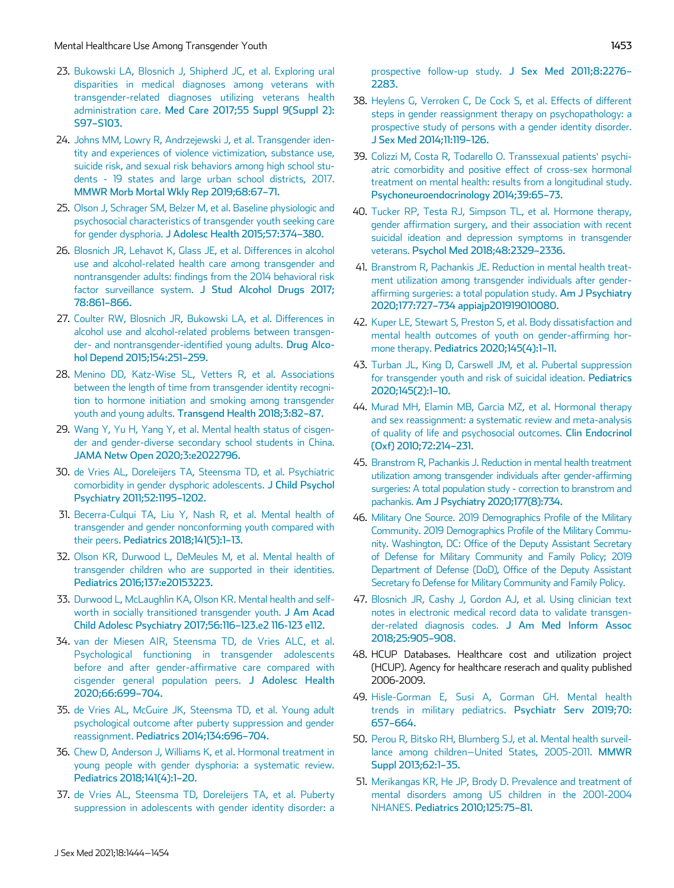- 23. Bukowski LA, Blosnich J, Shipherd JC, et al. Exploring ural disparities in medical diagnoses among veterans with transgender-related diagnoses utilizing veterans health administration care. Med Care 2017;55 Suppl 9(Suppl 2): S97–S103.
- 24. Johns MM, Lowry R, Andrzejewski J, et al. Transgender identity and experiences of violence victimization, substance use, suicide risk, and sexual risk behaviors among high school students - 19 states and large urban school districts, 2017. MMWR Morb Mortal Wkly Rep 2019;68:67–71.
- 25. Olson J, Schrager SM, Belzer M, et al. Baseline physiologic and psychosocial characteristics of transgender youth seeking care for gender dysphoria. J Adolesc Health 2015;57:374–380.
- 26. Blosnich JR, Lehavot K, Glass JE, et al. Differences in alcohol use and alcohol-related health care among transgender and nontransgender adults: findings from the 2014 behavioral risk factor surveillance system. J Stud Alcohol Drugs 2017; 78:861–866.
- 27. Coulter RW, Blosnich JR, Bukowski LA, et al. Differences in alcohol use and alcohol-related problems between transgender- and nontransgender-identified young adults. Drug Alcohol Depend 2015;154:251–259.
- 28. Menino DD, Katz-Wise SL, Vetters R, et al. Associations between the length of time from transgender identity recognition to hormone initiation and smoking among transgender youth and young adults. Transgend Health 2018;3:82–87.
- 29. Wang Y, Yu H, Yang Y, et al. Mental health status of cisgender and gender-diverse secondary school students in China. JAMA Netw Open 2020;3:e2022796.
- 30. de Vries AL, Doreleijers TA, Steensma TD, et al. Psychiatric comorbidity in gender dysphoric adolescents. J Child Psychol Psychiatry 2011;52:1195–1202.
- 31. Becerra-Culqui TA, Liu Y, Nash R, et al. Mental health of transgender and gender nonconforming youth compared with their peers. Pediatrics 2018;141(5):1–13.
- 32. Olson KR, Durwood L, DeMeules M, et al. Mental health of transgender children who are supported in their identities. Pediatrics 2016;137:e20153223.
- 33. Durwood L, McLaughlin KA, Olson KR. Mental health and selfworth in socially transitioned transgender youth. J Am Acad Child Adolesc Psychiatry 2017;56:116–123.e2 116-123 e112.
- 34. van der Miesen AIR, Steensma TD, de Vries ALC, et al. Psychological functioning in transgender adolescents before and after gender-affirmative care compared with cisgender general population peers. J Adolesc Health 2020;66:699–704.
- 35. de Vries AL, McGuire JK, Steensma TD, et al. Young adult psychological outcome after puberty suppression and gender reassignment. Pediatrics 2014;134:696–704.
- 36. Chew D, Anderson J, Williams K, et al. Hormonal treatment in young people with gender dysphoria: a systematic review. Pediatrics 2018;141(4):1–20.
- 37. de Vries AL, Steensma TD, Doreleijers TA, et al. Puberty suppression in adolescents with gender identity disorder: a

prospective follow-up study. J Sex Med 2011;8:2276– 2283.

- 38. Heylens G, Verroken C, De Cock S, et al. Effects of different steps in gender reassignment therapy on psychopathology: a prospective study of persons with a gender identity disorder. J Sex Med 2014;11:119–126.
- 39. Colizzi M, Costa R, Todarello O. Transsexual patients' psychiatric comorbidity and positive effect of cross-sex hormonal treatment on mental health: results from a longitudinal study. Psychoneuroendocrinology 2014;39:65–73.
- 40. Tucker RP, Testa RJ, Simpson TL, et al. Hormone therapy, gender affirmation surgery, and their association with recent suicidal ideation and depression symptoms in transgender veterans. Psychol Med 2018;48:2329–2336.
- 41. Branstrom R, Pachankis JE. Reduction in mental health treatment utilization among transgender individuals after genderaffirming surgeries: a total population study. Am J Psychiatry 2020;177:727–734 appiajp201919010080.
- 42. Kuper LE, Stewart S, Preston S, et al. Body dissatisfaction and mental health outcomes of youth on gender-affirming hormone therapy. Pediatrics 2020;145(4):1–11.
- 43. Turban JL, King D, Carswell JM, et al. Pubertal suppression for transgender youth and risk of suicidal ideation. Pediatrics 2020;145(2):1–10.
- 44. Murad MH, Elamin MB, Garcia MZ, et al. Hormonal therapy and sex reassignment: a systematic review and meta-analysis of quality of life and psychosocial outcomes. Clin Endocrinol (Oxf) 2010;72:214–231.
- 45. Branstrom R, Pachankis J. Reduction in mental health treatment utilization among transgender individuals after gender-affirming surgeries: A total population study - correction to branstrom and pachankis. Am J Psychiatry 2020;177(8):734.
- 46. Military One Source. 2019 Demographics Profile of the Military Community. 2019 Demographics Profile of the Military Community. Washington, DC: Office of the Deputy Assistant Secretary of Defense for Military Community and Family Policy; 2019 Department of Defense (DoD), Office of the Deputy Assistant Secretary fo Defense for Military Community and Family Policy.
- 47. Blosnich JR, Cashy J, Gordon AJ, et al. Using clinician text notes in electronic medical record data to validate transgender-related diagnosis codes. J Am Med Inform Assoc 2018;25:905–908.
- 48. HCUP Databases. Healthcare cost and utilization project (HCUP). Agency for healthcare reserach and quality published 2006-2009.
- 49. Hisle-Gorman E, Susi A, Gorman GH. Mental health trends in military pediatrics. Psychiatr Serv 2019;70: 657–664.
- 50. Perou R, Bitsko RH, Blumberg SJ, et al. Mental health surveillance among children−United States, 2005-2011. MMWR Suppl 2013;62:1–35.
- 51. Merikangas KR, He JP, Brody D. Prevalence and treatment of mental disorders among US children in the 2001-2004 NHANES. Pediatrics 2010;125:75–81.